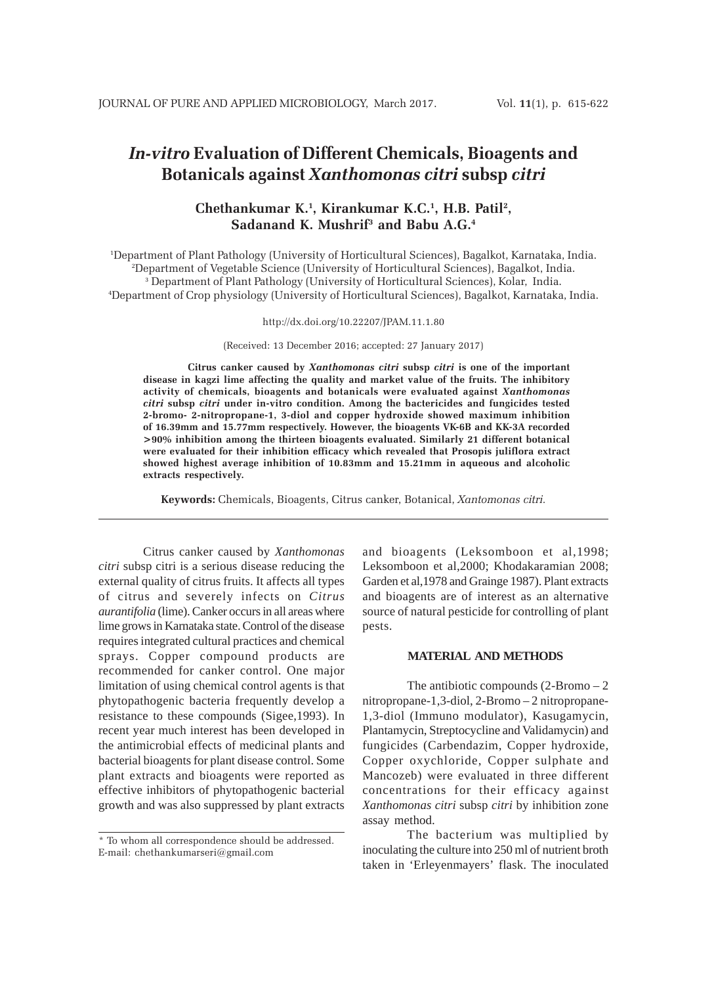# *In-vitro* **Evaluation of Different Chemicals, Bioagents and Botanicals against** *Xanthomonas citri* **subsp** *citri*

## **Chethankumar K.1 , Kirankumar K.C.1 , H.B. Patil2 , Sadanand K. Mushrif3 and Babu A.G.4**

 Department of Plant Pathology (University of Horticultural Sciences), Bagalkot, Karnataka, India. Department of Vegetable Science (University of Horticultural Sciences), Bagalkot, India. Department of Plant Pathology (University of Horticultural Sciences), Kolar, India. Department of Crop physiology (University of Horticultural Sciences), Bagalkot, Karnataka, India.

#### http://dx.doi.org/10.22207/JPAM.11.1.80

(Received: 13 December 2016; accepted: 27 January 2017)

**Citrus canker caused by** *Xanthomonas citri* **subsp** *citri* **is one of the important disease in kagzi lime affecting the quality and market value of the fruits. The inhibitory activity of chemicals, bioagents and botanicals were evaluated against** *Xanthomonas citri* **subsp** *citri* **under in-vitro condition. Among the bactericides and fungicides tested 2-bromo- 2-nitropropane-1, 3-diol and copper hydroxide showed maximum inhibition of 16.39mm and 15.77mm respectively. However, the bioagents VK-6B and KK-3A recorded >90% inhibition among the thirteen bioagents evaluated. Similarly 21 different botanical were evaluated for their inhibition efficacy which revealed that Prosopis juliflora extract showed highest average inhibition of 10.83mm and 15.21mm in aqueous and alcoholic extracts respectively.**

**Keywords:** Chemicals, Bioagents, Citrus canker, Botanical, *Xantomonas citri.*

Citrus canker caused by *Xanthomonas citri* subsp citri is a serious disease reducing the external quality of citrus fruits. It affects all types of citrus and severely infects on *Citrus aurantifolia* (lime). Canker occurs in all areas where lime grows in Karnataka state. Control of the disease requires integrated cultural practices and chemical sprays. Copper compound products are recommended for canker control. One major limitation of using chemical control agents is that phytopathogenic bacteria frequently develop a resistance to these compounds (Sigee,1993). In recent year much interest has been developed in the antimicrobial effects of medicinal plants and bacterial bioagents for plant disease control. Some plant extracts and bioagents were reported as effective inhibitors of phytopathogenic bacterial growth and was also suppressed by plant extracts

and bioagents (Leksomboon et al,1998; Leksomboon et al,2000; Khodakaramian 2008; Garden et al,1978 and Grainge 1987). Plant extracts and bioagents are of interest as an alternative source of natural pesticide for controlling of plant pests.

### **MATERIAL AND METHODS**

The antibiotic compounds  $(2\text{-}\mathrm{Bromo}-2)$ nitropropane-1,3-diol, 2-Bromo – 2 nitropropane-1,3-diol (Immuno modulator), Kasugamycin, Plantamycin, Streptocycline and Validamycin) and fungicides (Carbendazim, Copper hydroxide, Copper oxychloride, Copper sulphate and Mancozeb) were evaluated in three different concentrations for their efficacy against *Xanthomonas citri* subsp *citri* by inhibition zone assay method.

The bacterium was multiplied by inoculating the culture into 250 ml of nutrient broth taken in 'Erleyenmayers' flask. The inoculated

<sup>\*</sup> To whom all correspondence should be addressed. E-mail: chethankumarseri@gmail.com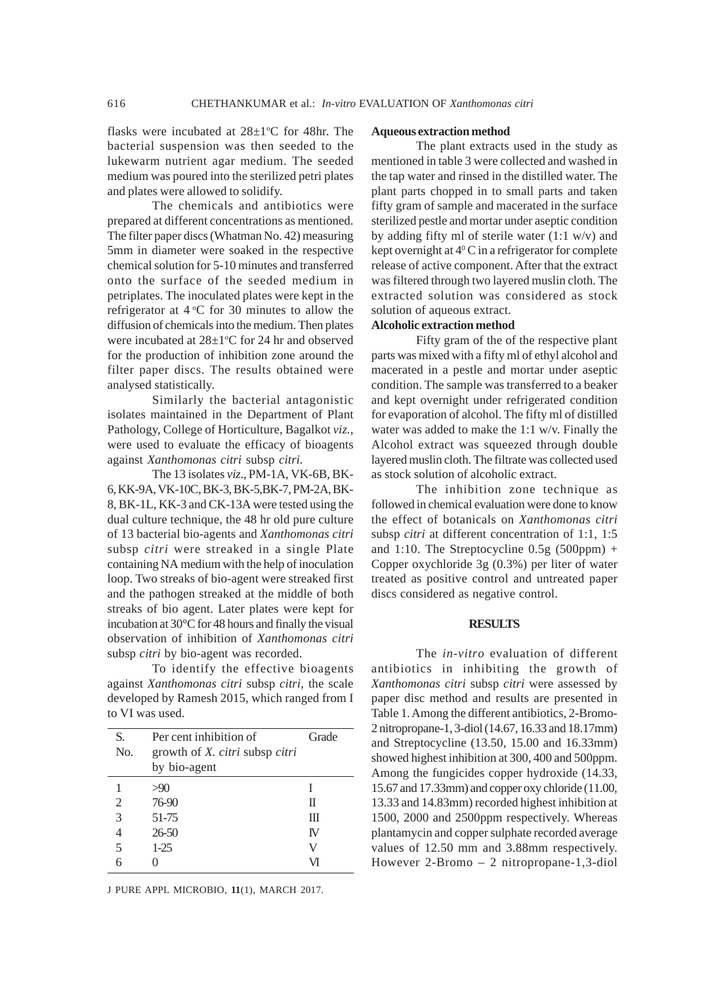flasks were incubated at  $28 \pm 1$ °C for 48hr. The bacterial suspension was then seeded to the lukewarm nutrient agar medium. The seeded medium was poured into the sterilized petri plates and plates were allowed to solidify.

The chemicals and antibiotics were prepared at different concentrations as mentioned. The filter paper discs (Whatman No. 42) measuring 5mm in diameter were soaked in the respective chemical solution for 5-10 minutes and transferred onto the surface of the seeded medium in petriplates. The inoculated plates were kept in the refrigerator at  $4^{\circ}$ C for 30 minutes to allow the diffusion of chemicals into the medium. Then plates were incubated at  $28 \pm 1$ °C for 24 hr and observed for the production of inhibition zone around the filter paper discs. The results obtained were analysed statistically.

Similarly the bacterial antagonistic isolates maintained in the Department of Plant Pathology, College of Horticulture, Bagalkot *viz.,* were used to evaluate the efficacy of bioagents against *Xanthomonas citri* subsp *citri.*

The 13 isolates *viz*., PM-1A, VK-6B, BK-6, KK-9A, VK-10C, BK-3, BK-5,BK-7, PM-2A, BK-8, BK-1L, KK-3 and CK-13A were tested using the dual culture technique, the 48 hr old pure culture of 13 bacterial bio-agents and *Xanthomonas citri* subsp *citri* were streaked in a single Plate containing NA medium with the help of inoculation loop. Two streaks of bio-agent were streaked first and the pathogen streaked at the middle of both streaks of bio agent. Later plates were kept for incubation at 30°C for 48 hours and finally the visual observation of inhibition of *Xanthomonas citri* subsp *citri* by bio-agent was recorded.

To identify the effective bioagents against *Xanthomonas citri* subsp *citri*, the scale developed by Ramesh 2015, which ranged from I to VI was used.

| S.<br>No. | Per cent inhibition of<br>growth of X. citri subsp citri<br>by bio-agent | Grade |
|-----------|--------------------------------------------------------------------------|-------|
|           | >90                                                                      |       |
| 2         | 76-90                                                                    | Π     |
| 3         | 51-75                                                                    | Ш     |
|           | $26 - 50$                                                                | TV.   |
| 5         | $1-25$                                                                   | V     |
| 6         |                                                                          | VІ    |

J PURE APPL MICROBIO*,* **11**(1), MARCH 2017.

#### **Aqueous extraction method**

The plant extracts used in the study as mentioned in table 3 were collected and washed in the tap water and rinsed in the distilled water. The plant parts chopped in to small parts and taken fifty gram of sample and macerated in the surface sterilized pestle and mortar under aseptic condition by adding fifty ml of sterile water  $(1:1 \text{ w/v})$  and kept overnight at  $4^{\circ}$ C in a refrigerator for complete release of active component. After that the extract was filtered through two layered muslin cloth. The extracted solution was considered as stock solution of aqueous extract.

#### **Alcoholic extraction method**

Fifty gram of the of the respective plant parts was mixed with a fifty ml of ethyl alcohol and macerated in a pestle and mortar under aseptic condition. The sample was transferred to a beaker and kept overnight under refrigerated condition for evaporation of alcohol. The fifty ml of distilled water was added to make the 1:1 w/v. Finally the Alcohol extract was squeezed through double layered muslin cloth. The filtrate was collected used as stock solution of alcoholic extract.

The inhibition zone technique as followed in chemical evaluation were done to know the effect of botanicals on *Xanthomonas citri* subsp *citri* at different concentration of 1:1, 1:5 and 1:10. The Streptocycline  $0.5g(500ppm)$  + Copper oxychloride 3g (0.3%) per liter of water treated as positive control and untreated paper discs considered as negative control.

#### **RESULTS**

The *in-vitro* evaluation of different antibiotics in inhibiting the growth of *Xanthomonas citri* subsp *citri* were assessed by paper disc method and results are presented in Table 1. Among the different antibiotics, 2-Bromo-2 nitropropane-1, 3-diol (14.67, 16.33 and 18.17mm) and Streptocycline (13.50, 15.00 and 16.33mm) showed highest inhibition at 300, 400 and 500ppm. Among the fungicides copper hydroxide (14.33, 15.67 and 17.33mm) and copper oxy chloride (11.00, 13.33 and 14.83mm) recorded highest inhibition at 1500, 2000 and 2500ppm respectively. Whereas plantamycin and copper sulphate recorded average values of 12.50 mm and 3.88mm respectively. However 2-Bromo – 2 nitropropane-1,3-diol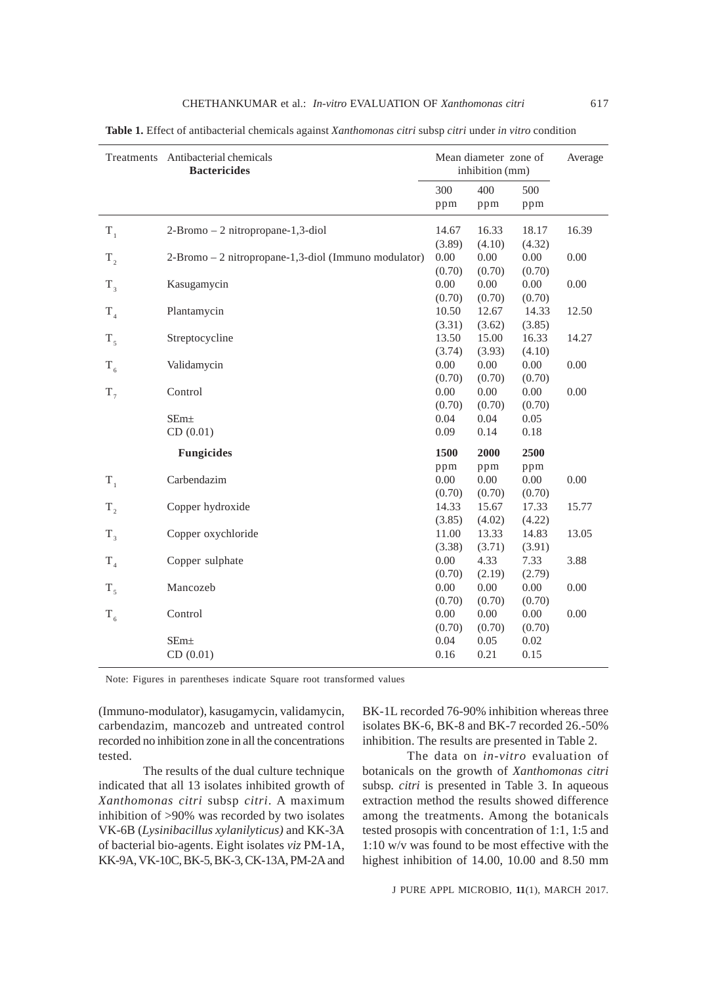|             | Treatments Antibacterial chemicals<br><b>Bactericides</b> |              | Mean diameter zone of<br>inhibition (mm) |          | Average |
|-------------|-----------------------------------------------------------|--------------|------------------------------------------|----------|---------|
|             |                                                           | 300          | 400                                      | 500      |         |
|             |                                                           | ppm          | ppm                                      | ppm      |         |
| $T_1$       | 2-Bromo - 2 nitropropane-1,3-diol                         | 14.67        | 16.33                                    | 18.17    | 16.39   |
|             |                                                           | (3.89)       | (4.10)                                   | (4.32)   |         |
| $T_{2}$     | 2-Bromo - 2 nitropropane-1,3-diol (Immuno modulator)      | 0.00         | 0.00                                     | $0.00\,$ | 0.00    |
|             |                                                           | (0.70)       | (0.70)                                   | (0.70)   |         |
| $T_{3}$     | Kasugamycin                                               | 0.00         | 0.00                                     | $0.00\,$ | 0.00    |
|             |                                                           | (0.70)       | (0.70)                                   | (0.70)   |         |
| $T_{4}$     | Plantamycin                                               | 10.50        | 12.67                                    | 14.33    | 12.50   |
|             |                                                           | (3.31)       | (3.62)                                   | (3.85)   |         |
| $T_{\zeta}$ | Streptocycline                                            | 13.50        | 15.00                                    | 16.33    | 14.27   |
|             |                                                           | (3.74)       | (3.93)                                   | (4.10)   |         |
| $T_{6}$     | Validamycin                                               | 0.00         | 0.00                                     | $0.00\,$ | 0.00    |
|             |                                                           | (0.70)       | (0.70)                                   | (0.70)   |         |
| $T_{7}$     | Control                                                   | 0.00         | $0.00\,$                                 | 0.00     | 0.00    |
|             |                                                           | (0.70)       | (0.70)                                   | (0.70)   |         |
|             | SEm <sub>±</sub>                                          | 0.04         | 0.04                                     | 0.05     |         |
|             | CD(0.01)                                                  | 0.09         | 0.14                                     | 0.18     |         |
|             | <b>Fungicides</b>                                         | 1500         | 2000                                     | 2500     |         |
|             |                                                           | ppm          | ppm                                      | ppm      |         |
| $T_{1}$     | Carbendazim                                               | 0.00         | 0.00                                     | 0.00     | 0.00    |
|             |                                                           | (0.70)       | (0.70)                                   | (0.70)   |         |
| $T_{2}$     | Copper hydroxide                                          | 14.33        | 15.67                                    | 17.33    | 15.77   |
|             |                                                           | (3.85)       | (4.02)                                   | (4.22)   |         |
| $T_{3}$     | Copper oxychloride                                        | 11.00        | 13.33                                    | 14.83    | 13.05   |
|             |                                                           | (3.38)       | (3.71)                                   | (3.91)   |         |
| $T_{4}$     | Copper sulphate                                           | 0.00         | 4.33                                     | 7.33     | 3.88    |
|             |                                                           | (0.70)       | (2.19)                                   | (2.79)   |         |
| $T_{\zeta}$ | Mancozeb                                                  | 0.00         | 0.00                                     | 0.00     | 0.00    |
|             |                                                           | (0.70)       | (0.70)                                   | (0.70)   |         |
| $T_{6}$     | Control                                                   | 0.00         | $0.00\,$                                 | 0.00     | 0.00    |
|             |                                                           | (0.70)       | (0.70)                                   | (0.70)   |         |
|             | SEm <sub>±</sub>                                          | 0.04<br>0.16 | 0.05<br>0.21                             | 0.02     |         |
|             | CD(0.01)                                                  |              |                                          | 0.15     |         |

**Table 1.** Effect of antibacterial chemicals against *Xanthomonas citri* subsp *citri* under *in vitro* condition

Note: Figures in parentheses indicate Square root transformed values

(Immuno-modulator), kasugamycin, validamycin, carbendazim, mancozeb and untreated control recorded no inhibition zone in all the concentrations tested.

The results of the dual culture technique indicated that all 13 isolates inhibited growth of *Xanthomonas citri* subsp *citri*. A maximum inhibition of >90% was recorded by two isolates VK-6B (*Lysinibacillus xylanilyticus)* and KK-3A of bacterial bio-agents. Eight isolates *viz* PM-1A, KK-9A, VK-10C, BK-5, BK-3, CK-13A, PM-2A and BK-1L recorded 76-90% inhibition whereas three isolates BK-6, BK-8 and BK-7 recorded 26.-50% inhibition. The results are presented in Table 2.

The data on *in-vitro* evaluation of botanicals on the growth of *Xanthomonas citri* subsp*. citri* is presented in Table 3. In aqueous extraction method the results showed difference among the treatments. Among the botanicals tested prosopis with concentration of 1:1, 1:5 and 1:10 w/v was found to be most effective with the highest inhibition of 14.00, 10.00 and 8.50 mm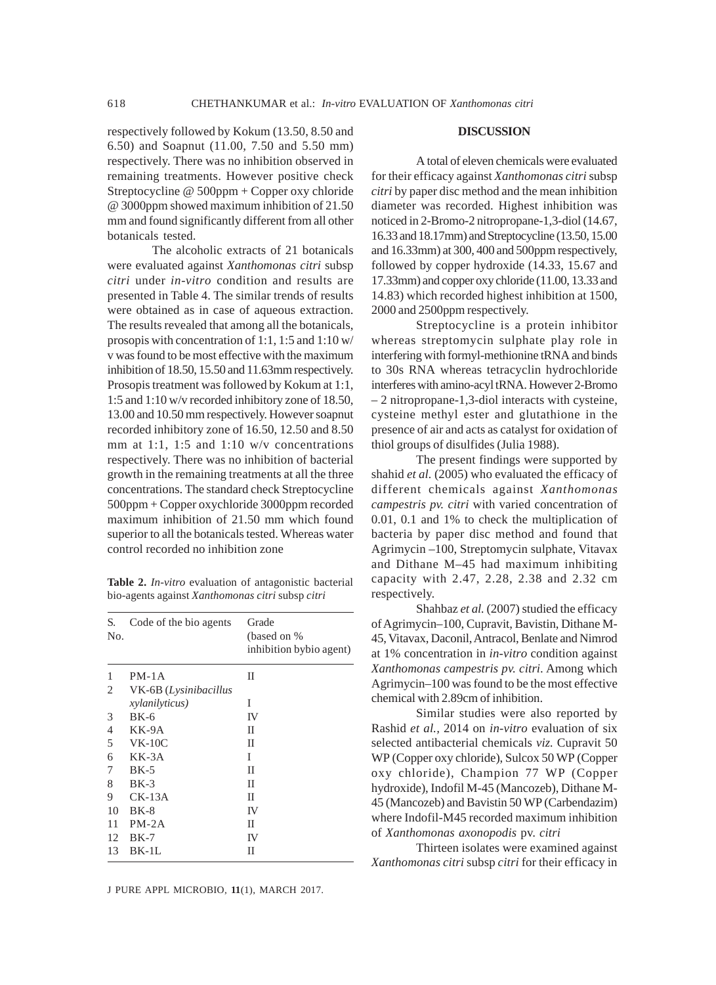respectively followed by Kokum (13.50, 8.50 and 6.50) and Soapnut (11.00, 7.50 and 5.50 mm) respectively. There was no inhibition observed in remaining treatments. However positive check Streptocycline @ 500ppm + Copper oxy chloride @ 3000ppm showed maximum inhibition of 21.50 mm and found significantly different from all other botanicals tested.

The alcoholic extracts of 21 botanicals were evaluated against *Xanthomonas citri* subsp *citri* under *in-vitro* condition and results are presented in Table 4. The similar trends of results were obtained as in case of aqueous extraction. The results revealed that among all the botanicals, prosopis with concentration of 1:1, 1:5 and 1:10 w/ v was found to be most effective with the maximum inhibition of 18.50, 15.50 and 11.63mm respectively. Prosopis treatment was followed by Kokum at 1:1, 1:5 and 1:10 w/v recorded inhibitory zone of 18.50, 13.00 and 10.50 mm respectively. However soapnut recorded inhibitory zone of 16.50, 12.50 and 8.50 mm at 1:1, 1:5 and 1:10 w/v concentrations respectively. There was no inhibition of bacterial growth in the remaining treatments at all the three concentrations. The standard check Streptocycline 500ppm + Copper oxychloride 3000ppm recorded maximum inhibition of 21.50 mm which found superior to all the botanicals tested. Whereas water control recorded no inhibition zone

**Table 2.** *In-vitro* evaluation of antagonistic bacterial bio-agents against *Xanthomonas citri* subsp *citri*

| S.<br>No. | Code of the bio agents | Grade<br>(based on %)<br>inhibition bybio agent) |
|-----------|------------------------|--------------------------------------------------|
| 1         | $PM-1A$                | П                                                |
| 2         | VK-6B (Lysinibacillus  |                                                  |
|           | <i>xylanilyticus</i> ) | I                                                |
| 3         | $BK-6$                 | IV                                               |
| 4         | KK-9A                  | П                                                |
| 5         | $VK-10C$               | П                                                |
| 6         | $KK-3A$                | T                                                |
| 7         | $BK-5$                 | П                                                |
| 8         | $BK-3$                 | П                                                |
| 9         | $CK-13A$               | П                                                |
| 10        | $BK-8$                 | IV                                               |
| 11        | $PM-2A$                | П                                                |
| 12        | $BK-7$                 | IV                                               |
| 13        | $BK-1L$                | П                                                |

#### **DISCUSSION**

A total of eleven chemicals were evaluated for their efficacy against *Xanthomonas citri* subsp *citri* by paper disc method and the mean inhibition diameter was recorded. Highest inhibition was noticed in 2-Bromo-2 nitropropane-1,3-diol (14.67, 16.33 and 18.17mm) and Streptocycline (13.50, 15.00 and 16.33mm) at 300, 400 and 500ppm respectively, followed by copper hydroxide (14.33, 15.67 and 17.33mm) and copper oxy chloride (11.00, 13.33 and 14.83) which recorded highest inhibition at 1500, 2000 and 2500ppm respectively.

Streptocycline is a protein inhibitor whereas streptomycin sulphate play role in interfering with formyl-methionine tRNA and binds to 30s RNA whereas tetracyclin hydrochloride interferes with amino-acyl tRNA. However 2-Bromo – 2 nitropropane-1,3-diol interacts with cysteine, cysteine methyl ester and glutathione in the presence of air and acts as catalyst for oxidation of thiol groups of disulfides (Julia 1988).

The present findings were supported by shahid *et al.* (2005) who evaluated the efficacy of different chemicals against *Xanthomonas campestris pv. citri* with varied concentration of 0.01, 0.1 and 1% to check the multiplication of bacteria by paper disc method and found that Agrimycin –100, Streptomycin sulphate, Vitavax and Dithane M–45 had maximum inhibiting capacity with 2.47, 2.28, 2.38 and 2.32 cm respectively.

Shahbaz *et al.* (2007) studied the efficacy of Agrimycin–100, Cupravit, Bavistin, Dithane M-45, Vitavax, Daconil, Antracol, Benlate and Nimrod at 1% concentration in *in-vitro* condition against *Xanthomonas campestris pv. citri*. Among which Agrimycin–100 was found to be the most effective chemical with 2.89cm of inhibition.

Similar studies were also reported by Rashid *et al.,* 2014 on *in-vitro* evaluation of six selected antibacterial chemicals *viz.* Cupravit 50 WP (Copper oxy chloride), Sulcox 50 WP (Copper oxy chloride), Champion 77 WP (Copper hydroxide), Indofil M-45 (Mancozeb), Dithane M-45 (Mancozeb) and Bavistin 50 WP (Carbendazim) where Indofil-M45 recorded maximum inhibition of *Xanthomonas axonopodis* pv. *citri*

Thirteen isolates were examined against *Xanthomonas citri* subsp *citri* for their efficacy in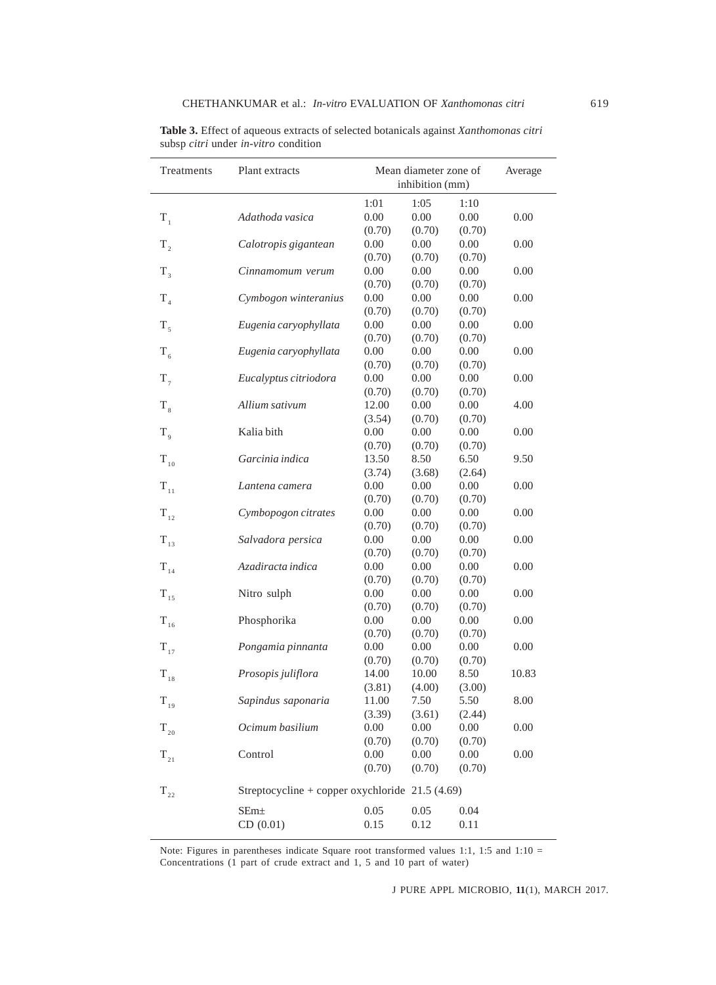| Treatments      | Plant extracts                                   |                 | Mean diameter zone of<br>Average<br>inhibition (mm) |                |          |
|-----------------|--------------------------------------------------|-----------------|-----------------------------------------------------|----------------|----------|
|                 |                                                  | 1:01            | 1:05                                                | 1:10           |          |
| $T_{1}$         | Adathoda vasica                                  | 0.00            | 0.00                                                | 0.00           | $0.00\,$ |
|                 |                                                  | (0.70)          | (0.70)                                              | (0.70)         |          |
| $T_{2}$         | Calotropis gigantean                             | 0.00            | 0.00                                                | $0.00\,$       | 0.00     |
|                 |                                                  | (0.70)          | (0.70)                                              | (0.70)         |          |
| $T_{3}$         | Cinnamomum verum                                 | 0.00            | 0.00                                                | 0.00           | 0.00     |
|                 |                                                  | (0.70)          | (0.70)                                              | (0.70)         |          |
| $T_{4}$         | Cymbogon winteranius                             | 0.00            | 0.00                                                | 0.00           | 0.00     |
|                 |                                                  | (0.70)          | (0.70)                                              | (0.70)         |          |
| $T_{5}$         | Eugenia caryophyllata                            | 0.00            | 0.00                                                | 0.00           | 0.00     |
|                 |                                                  | (0.70)          | (0.70)                                              | (0.70)         |          |
| $T_{6}$         | Eugenia caryophyllata                            | 0.00            | 0.00                                                | 0.00           | 0.00     |
|                 |                                                  | (0.70)          | (0.70)                                              | (0.70)         |          |
| $T_{7}$         | Eucalyptus citriodora                            | 0.00            | 0.00                                                | 0.00           | 0.00     |
|                 |                                                  | (0.70)          | (0.70)                                              | (0.70)         |          |
| $T_{8}$         | Allium sativum                                   | 12.00           | 0.00                                                | 0.00           | 4.00     |
|                 |                                                  | (3.54)          | (0.70)                                              | (0.70)         |          |
| $T_{\rm q}$     | Kalia bith                                       | 0.00            | 0.00                                                | 0.00           | 0.00     |
|                 |                                                  | (0.70)          | (0.70)                                              | (0.70)         |          |
| $\rm T_{_{10}}$ | Garcinia indica                                  | 13.50           | 8.50                                                | 6.50           | 9.50     |
|                 |                                                  | (3.74)          | (3.68)                                              | (2.64)         |          |
| $T_{11}$        | Lantena camera                                   | 0.00            | 0.00                                                | 0.00           | 0.00     |
|                 |                                                  | (0.70)          | (0.70)                                              | (0.70)         |          |
| $T_{12}$        | Cymbopogon citrates                              | 0.00            | 0.00                                                | 0.00           | 0.00     |
|                 |                                                  | (0.70)          | (0.70)                                              | (0.70)         |          |
| $\rm T_{_{13}}$ | Salvadora persica                                | 0.00            | 0.00                                                | 0.00           | 0.00     |
|                 |                                                  | (0.70)          | (0.70)                                              | (0.70)         |          |
| $T_{14}$        | Azadiracta indica                                | 0.00            | 0.00                                                | 0.00           | 0.00     |
|                 |                                                  | (0.70)          | (0.70)                                              | (0.70)         |          |
| $T_{15}$        | Nitro sulph                                      | 0.00            | 0.00                                                | 0.00           | 0.00     |
|                 |                                                  | (0.70)          | (0.70)                                              | (0.70)         |          |
| $T_{16}$        | Phosphorika                                      | 0.00            | 0.00                                                | 0.00           | 0.00     |
|                 |                                                  | (0.70)          | (0.70)                                              | (0.70)         |          |
| $T_{17}$        | Pongamia pinnanta                                | 0.00            | 0.00                                                | 0.00           | 0.00     |
|                 | Prosopis juliflora                               | (0.70)<br>14.00 | (0.70)<br>10.00                                     | (0.70)<br>8.50 | 10.83    |
| $\rm T_{_{18}}$ |                                                  | (3.81)          | (4.00)                                              | (3.00)         |          |
| $T_{19}$        | Sapindus saponaria                               | 11.00           | 7.50                                                | 5.50           | 8.00     |
|                 |                                                  | (3.39)          | (3.61)                                              | (2.44)         |          |
|                 | Ocimum basilium                                  | 0.00            | 0.00                                                | 0.00           | 0.00     |
| $\rm T_{_{20}}$ |                                                  | (0.70)          | (0.70)                                              | (0.70)         |          |
| $T_{21}$        | Control                                          | 0.00            | 0.00                                                | 0.00           | 0.00     |
|                 |                                                  | (0.70)          | (0.70)                                              | (0.70)         |          |
|                 |                                                  |                 |                                                     |                |          |
| $T_{22}$        | Streptocycline + copper oxychloride $21.5(4.69)$ |                 |                                                     |                |          |
|                 | SEm <sub>±</sub>                                 | 0.05            | 0.05                                                | 0.04           |          |
|                 | CD(0.01)                                         | 0.15            | 0.12                                                | 0.11           |          |

**Table 3.** Effect of aqueous extracts of selected botanicals against *Xanthomonas citri* subsp *citri* under *in-vitro* condition

Note: Figures in parentheses indicate Square root transformed values 1:1, 1:5 and 1:10 = Concentrations (1 part of crude extract and 1, 5 and 10 part of water)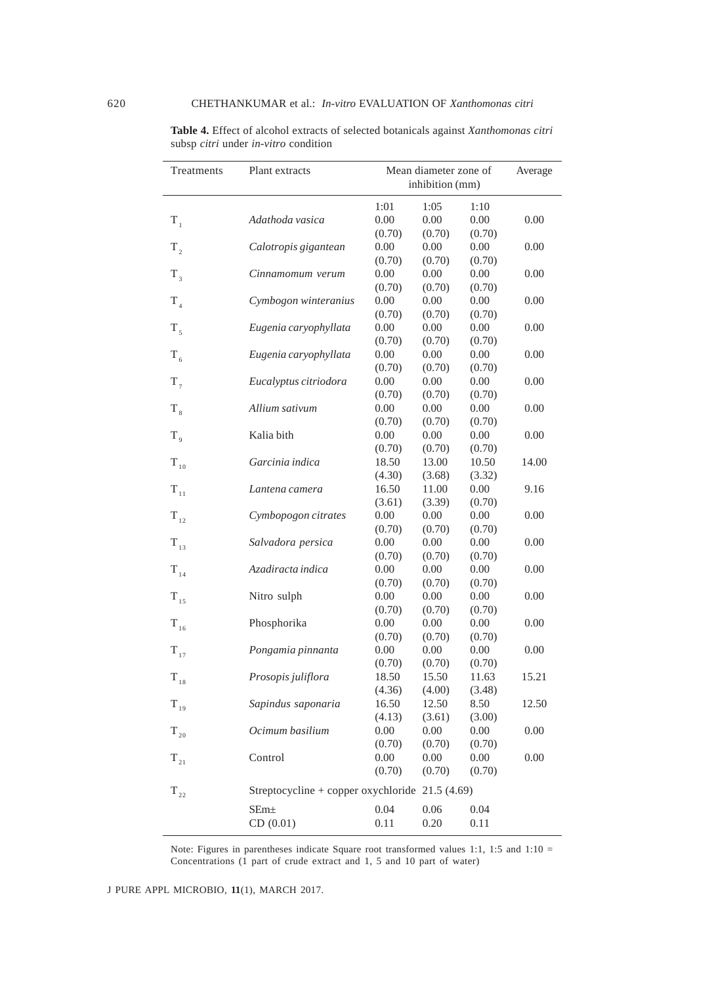| Treatments      | Plant extracts                                   | Mean diameter zone of<br>inhibition (mm) |        |        | Average |
|-----------------|--------------------------------------------------|------------------------------------------|--------|--------|---------|
|                 |                                                  | 1:01                                     | 1:05   | 1:10   |         |
| $T_{1}$         | Adathoda vasica                                  | 0.00                                     | 0.00   | 0.00   | 0.00    |
|                 |                                                  | (0.70)                                   | (0.70) | (0.70) |         |
| $T_{2}$         | Calotropis gigantean                             | 0.00                                     | 0.00   | 0.00   | 0.00    |
|                 |                                                  | (0.70)                                   | (0.70) | (0.70) |         |
| $T_{3}$         | Cinnamomum verum                                 | 0.00                                     | 0.00   | 0.00   | 0.00    |
|                 |                                                  | (0.70)                                   | (0.70) | (0.70) |         |
| $T_{4}$         | Cymbogon winteranius                             | 0.00                                     | 0.00   | 0.00   | 0.00    |
|                 |                                                  | (0.70)                                   | (0.70) | (0.70) |         |
| $T_{5}$         | Eugenia caryophyllata                            | 0.00                                     | 0.00   | 0.00   | 0.00    |
|                 |                                                  | (0.70)                                   | (0.70) | (0.70) |         |
| $T_{6}$         | Eugenia caryophyllata                            | 0.00                                     | 0.00   | 0.00   | 0.00    |
|                 |                                                  | (0.70)                                   | (0.70) | (0.70) |         |
| $T_{7}$         | Eucalyptus citriodora                            | 0.00                                     | 0.00   | 0.00   | 0.00    |
|                 |                                                  | (0.70)                                   | (0.70) | (0.70) |         |
| $T_{8}$         | Allium sativum                                   | 0.00                                     | 0.00   | 0.00   | 0.00    |
|                 |                                                  | (0.70)                                   | (0.70) | (0.70) |         |
| $T_{\rm q}$     | Kalia bith                                       | 0.00                                     | 0.00   | 0.00   | 0.00    |
|                 |                                                  | (0.70)                                   | (0.70) | (0.70) |         |
| $T_{10}$        | Garcinia indica                                  | 18.50                                    | 13.00  | 10.50  | 14.00   |
|                 |                                                  | (4.30)                                   | (3.68) | (3.32) |         |
| $T_{11}$        | Lantena camera                                   | 16.50                                    | 11.00  | 0.00   | 9.16    |
|                 |                                                  | (3.61)                                   | (3.39) | (0.70) |         |
| $T_{12}$        | Cymbopogon citrates                              | 0.00                                     | 0.00   | 0.00   | 0.00    |
|                 |                                                  | (0.70)                                   | (0.70) | (0.70) |         |
| $T_{13}$        | Salvadora persica                                | 0.00                                     | 0.00   | 0.00   | 0.00    |
|                 |                                                  | (0.70)                                   | (0.70) | (0.70) |         |
| $T_{14}$        | Azadiracta indica                                | 0.00                                     | 0.00   | 0.00   | 0.00    |
|                 |                                                  | (0.70)                                   | (0.70) | (0.70) |         |
| $T_{15}$        | Nitro sulph                                      | 0.00                                     | 0.00   | 0.00   | 0.00    |
|                 |                                                  | (0.70)                                   | (0.70) | (0.70) |         |
| $T_{16}$        | Phosphorika                                      | 0.00                                     | 0.00   | 0.00   | 0.00    |
|                 |                                                  | (0.70)                                   | (0.70) | (0.70) |         |
| $T_{17}$        | Pongamia pinnanta                                | 0.00                                     | 0.00   | 0.00   | 0.00    |
|                 |                                                  | (0.70)                                   | (0.70) | (0.70) |         |
| $T_{18}$        | Prosopis juliflora                               | 18.50                                    | 15.50  | 11.63  | 15.21   |
|                 |                                                  | (4.36)                                   | (4.00) | (3.48) |         |
| $T_{19}$        | Sapindus saponaria                               | 16.50                                    | 12.50  | 8.50   | 12.50   |
|                 |                                                  | (4.13)                                   | (3.61) | (3.00) |         |
| $\rm T_{_{20}}$ | Ocimum basilium                                  | 0.00                                     | 0.00   | 0.00   | 0.00    |
|                 |                                                  | (0.70)                                   | (0.70) | (0.70) |         |
| $T_{21}$        | Control                                          | 0.00                                     | 0.00   | 0.00   | 0.00    |
|                 |                                                  | (0.70)                                   | (0.70) | (0.70) |         |
| $\rm T_{_{22}}$ | Streptocycline + copper oxychloride $21.5(4.69)$ |                                          |        |        |         |
|                 | SEm <sub>±</sub>                                 | 0.04                                     | 0.06   | 0.04   |         |
|                 | CD(0.01)                                         | 0.11                                     | 0.20   | 0.11   |         |

**Table 4.** Effect of alcohol extracts of selected botanicals against *Xanthomonas citri* subsp *citri* under *in-vitro* condition

Note: Figures in parentheses indicate Square root transformed values 1:1, 1:5 and 1:10 = Concentrations (1 part of crude extract and 1, 5 and 10 part of water)

J PURE APPL MICROBIO*,* **11**(1), MARCH 2017.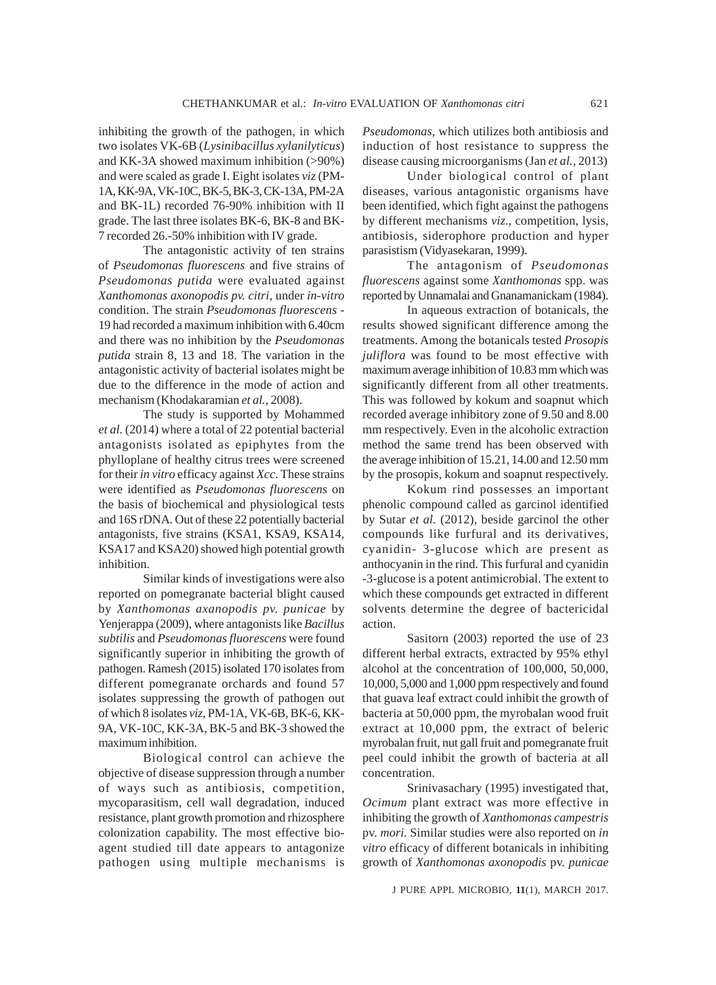inhibiting the growth of the pathogen, in which two isolates VK-6B (*Lysinibacillus xylanilyticus*) and KK-3A showed maximum inhibition (>90%) and were scaled as grade I. Eight isolates *viz* (PM-1A, KK-9A, VK-10C, BK-5, BK-3, CK-13A, PM-2A and BK-1L) recorded 76-90% inhibition with II grade. The last three isolates BK-6, BK-8 and BK-7 recorded 26.-50% inhibition with IV grade.

The antagonistic activity of ten strains of *Pseudomonas fluorescens* and five strains of *Pseudomonas putida* were evaluated against *Xanthomonas axonopodis pv. citri*, under *in-vitro* condition. The strain *Pseudomonas fluorescens* - 19 had recorded a maximum inhibition with 6.40cm and there was no inhibition by the *Pseudomonas putida* strain 8, 13 and 18. The variation in the antagonistic activity of bacterial isolates might be due to the difference in the mode of action and mechanism (Khodakaramian *et al.,* 2008).

The study is supported by Mohammed *et al.* (2014) where a total of 22 potential bacterial antagonists isolated as epiphytes from the phylloplane of healthy citrus trees were screened for their *in vitro* efficacy against *Xcc*. These strains were identified as *Pseudomonas fluorescens* on the basis of biochemical and physiological tests and 16S rDNA. Out of these 22 potentially bacterial antagonists, five strains (KSA1, KSA9, KSA14, KSA17 and KSA20) showed high potential growth inhibition.

Similar kinds of investigations were also reported on pomegranate bacterial blight caused by *Xanthomonas axanopodis pv. punicae* by Yenjerappa (2009), where antagonists like *Bacillus subtilis* and *Pseudomonas fluorescens* were found significantly superior in inhibiting the growth of pathogen. Ramesh (2015) isolated 170 isolates from different pomegranate orchards and found 57 isolates suppressing the growth of pathogen out of which 8 isolates *viz*, PM-1A, VK-6B, BK-6, KK-9A, VK-10C, KK-3A, BK-5 and BK-3 showed the maximum inhibition.

Biological control can achieve the objective of disease suppression through a number of ways such as antibiosis, competition, mycoparasitism, cell wall degradation, induced resistance, plant growth promotion and rhizosphere colonization capability. The most effective bioagent studied till date appears to antagonize pathogen using multiple mechanisms is

*Pseudomonas*, which utilizes both antibiosis and induction of host resistance to suppress the disease causing microorganisms (Jan *et al.,* 2013)

Under biological control of plant diseases, various antagonistic organisms have been identified, which fight against the pathogens by different mechanisms *viz.,* competition, lysis, antibiosis, siderophore production and hyper parasistism (Vidyasekaran, 1999).

The antagonism of *Pseudomonas fluorescens* against some *Xanthomonas* spp. was reported by Unnamalai and Gnanamanickam (1984).

In aqueous extraction of botanicals, the results showed significant difference among the treatments. Among the botanicals tested *Prosopis juliflora* was found to be most effective with maximum average inhibition of 10.83 mm which was significantly different from all other treatments. This was followed by kokum and soapnut which recorded average inhibitory zone of 9.50 and 8.00 mm respectively. Even in the alcoholic extraction method the same trend has been observed with the average inhibition of 15.21, 14.00 and 12.50 mm by the prosopis, kokum and soapnut respectively.

Kokum rind possesses an important phenolic compound called as garcinol identified by Sutar *et al.* (2012), beside garcinol the other compounds like furfural and its derivatives, cyanidin- 3-glucose which are present as anthocyanin in the rind. This furfural and cyanidin -3-glucose is a potent antimicrobial. The extent to which these compounds get extracted in different solvents determine the degree of bactericidal action.

Sasitorn (2003) reported the use of 23 different herbal extracts, extracted by 95% ethyl alcohol at the concentration of 100,000, 50,000, 10,000, 5,000 and 1,000 ppm respectively and found that guava leaf extract could inhibit the growth of bacteria at 50,000 ppm, the myrobalan wood fruit extract at 10,000 ppm, the extract of beleric myrobalan fruit, nut gall fruit and pomegranate fruit peel could inhibit the growth of bacteria at all concentration.

Srinivasachary (1995) investigated that, *Ocimum* plant extract was more effective in inhibiting the growth of *Xanthomonas campestris* pv. *mori.* Similar studies were also reported on *in vitro* efficacy of different botanicals in inhibiting growth of *Xanthomonas axonopodis* pv. *punicae*